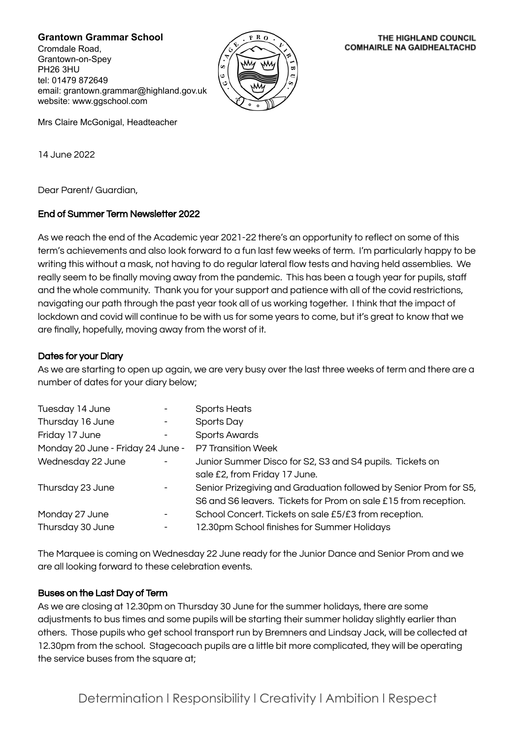**Grantown Grammar School**

Cromdale Road, Grantown-on-Spey PH26 3HU tel: 01479 872649 email: grantown.grammar@highland.gov.uk website: www.ggschool.com



#### THE HIGHLAND COUNCIL **COMHAIRLE NA GAIDHEALTACHD**

Mrs Claire McGonigal, Headteacher

14 June 2022

Dear Parent/ Guardian,

# End of Summer Term Newsletter 2022

As we reach the end of the Academic year 2021-22 there's an opportunity to reflect on some of this term's achievements and also look forward to a fun last few weeks of term. I'm particularly happy to be writing this without a mask, not having to do regular lateral flow tests and having held assemblies. We really seem to be finally moving away from the pandemic. This has been a tough year for pupils, staff and the whole community. Thank you for your support and patience with all of the covid restrictions, navigating our path through the past year took all of us working together. I think that the impact of lockdown and covid will continue to be with us for some years to come, but it's great to know that we are finally, hopefully, moving away from the worst of it.

# Dates for your Diary

As we are starting to open up again, we are very busy over the last three weeks of term and there are a number of dates for your diary below;

| Tuesday 14 June                   |  | Sports Heats                                                      |
|-----------------------------------|--|-------------------------------------------------------------------|
| Thursday 16 June                  |  | Sports Day                                                        |
| Friday 17 June                    |  | <b>Sports Awards</b>                                              |
| Monday 20 June - Friday 24 June - |  | P7 Transition Week                                                |
| Wednesday 22 June                 |  | Junior Summer Disco for S2, S3 and S4 pupils. Tickets on          |
|                                   |  | sale £2, from Friday 17 June.                                     |
| Thursday 23 June                  |  | Senior Prizegiving and Graduation followed by Senior Prom for S5, |
|                                   |  | S6 and S6 leavers. Tickets for Prom on sale £15 from reception.   |
| Monday 27 June                    |  | School Concert. Tickets on sale £5/£3 from reception.             |
| Thursday 30 June                  |  | 12.30pm School finishes for Summer Holidays                       |
|                                   |  |                                                                   |

The Marquee is coming on Wednesday 22 June ready for the Junior Dance and Senior Prom and we are all looking forward to these celebration events.

### Buses on the Last Day of Term

As we are closing at 12.30pm on Thursday 30 June for the summer holidays, there are some adjustments to bus times and some pupils will be starting their summer holiday slightly earlier than others. Those pupils who get school transport run by Bremners and Lindsay Jack, will be collected at 12.30pm from the school. Stagecoach pupils are a little bit more complicated, they will be operating the service buses from the square at;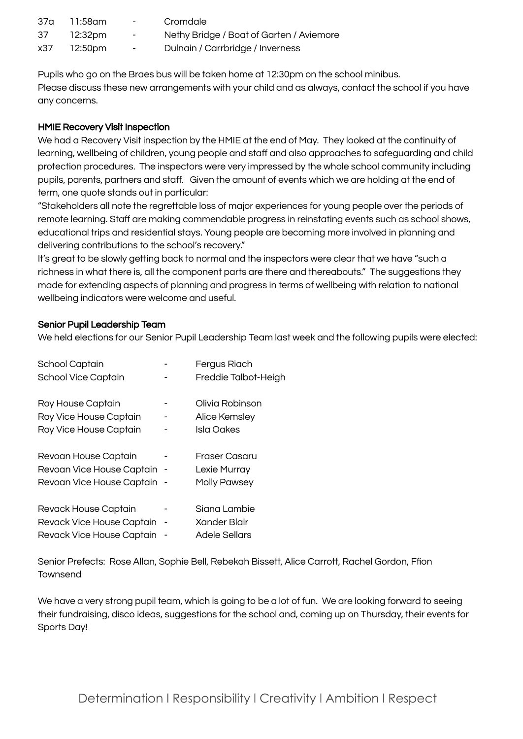| 37a | 11:58am     | <b>Contract Contract</b> | Cromdale                                 |
|-----|-------------|--------------------------|------------------------------------------|
| 37  | 12:32pm     | $\sim$                   | Nethy Bridge / Boat of Garten / Aviemore |
|     | x37 12:50pm | $\sim$                   | Dulnain / Carrbridge / Inverness         |

Pupils who go on the Braes bus will be taken home at 12:30pm on the school minibus. Please discuss these new arrangements with your child and as always, contact the school if you have any concerns.

# HMIE Recovery Visit Inspection

We had a Recovery Visit inspection by the HMIE at the end of May. They looked at the continuity of learning, wellbeing of children, young people and staff and also approaches to safeguarding and child protection procedures. The inspectors were very impressed by the whole school community including pupils, parents, partners and staff. Given the amount of events which we are holding at the end of term, one quote stands out in particular:

"Stakeholders all note the regrettable loss of major experiences for young people over the periods of remote learning. Staff are making commendable progress in reinstating events such as school shows, educational trips and residential stays. Young people are becoming more involved in planning and delivering contributions to the school's recovery."

It's great to be slowly getting back to normal and the inspectors were clear that we have "such a richness in what there is, all the component parts are there and thereabouts." The suggestions they made for extending aspects of planning and progress in terms of wellbeing with relation to national wellbeing indicators were welcome and useful.

# Senior Pupil Leadership Team

We held elections for our Senior Pupil Leadership Team last week and the following pupils were elected:

| School Captain              | Fergus Riach         |
|-----------------------------|----------------------|
| School Vice Captain         | Freddie Talbot-Heigh |
| Roy House Captain           | Olivia Robinson      |
| Roy Vice House Captain      | Alice Kemsley        |
| Roy Vice House Captain      | Isla Oakes           |
| Revoan House Captain        | Fraser Casaru        |
| Revoan Vice House Captain - | Lexie Murray         |
| Revoan Vice House Captain - | <b>Molly Pawsey</b>  |
| Revack House Captain        | Siana Lambie         |
| Revack Vice House Captain   | Xander Blair         |
| Revack Vice House Captain   | <b>Adele Sellars</b> |

Senior Prefects: Rose Allan, Sophie Bell, Rebekah Bissett, Alice Carrott, Rachel Gordon, Ffion Townsend

We have a very strong pupil team, which is going to be a lot of fun. We are looking forward to seeing their fundraising, disco ideas, suggestions for the school and, coming up on Thursday, their events for Sports Day!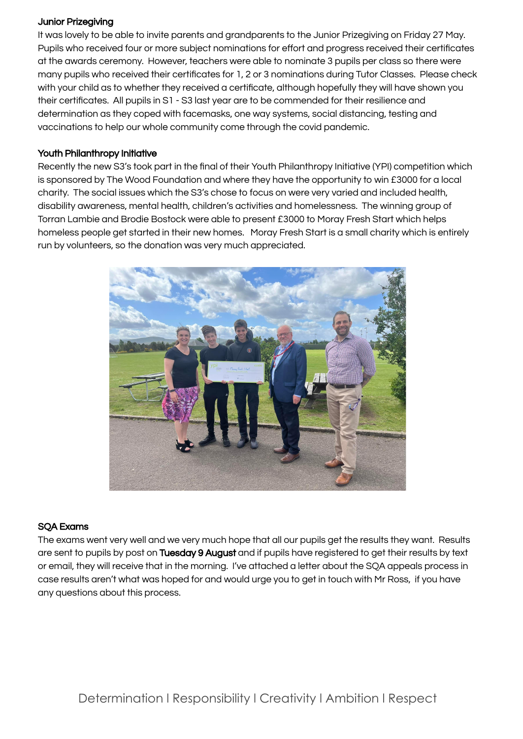## Junior Prizegiving

It was lovely to be able to invite parents and grandparents to the Junior Prizegiving on Friday 27 May. Pupils who received four or more subject nominations for effort and progress received their certificates at the awards ceremony. However, teachers were able to nominate 3 pupils per class so there were many pupils who received their certificates for 1, 2 or 3 nominations during Tutor Classes. Please check with your child as to whether they received a certificate, although hopefully they will have shown you their certificates. All pupils in S1 - S3 last year are to be commended for their resilience and determination as they coped with facemasks, one way systems, social distancing, testing and vaccinations to help our whole community come through the covid pandemic.

# Youth Philanthropy Initiative

Recently the new S3's took part in the final of their Youth Philanthropy Initiative (YPI) competition which is sponsored by The Wood Foundation and where they have the opportunity to win £3000 for a local charity. The social issues which the S3's chose to focus on were very varied and included health, disability awareness, mental health, children's activities and homelessness. The winning group of Torran Lambie and Brodie Bostock were able to present £3000 to Moray Fresh Start which helps homeless people get started in their new homes. Moray Fresh Start is a small charity which is entirely run by volunteers, so the donation was very much appreciated.



### SQA Exams

The exams went very well and we very much hope that all our pupils get the results they want. Results are sent to pupils by post on Tuesday 9 August and if pupils have registered to get their results by text or email, they will receive that in the morning. I've attached a letter about the SQA appeals process in case results aren't what was hoped for and would urge you to get in touch with Mr Ross, if you have any questions about this process.